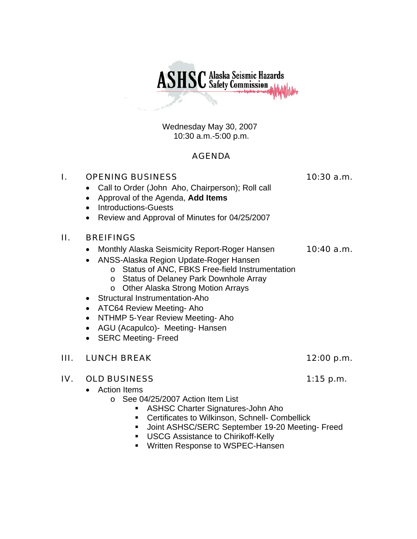Wednesday May 30, 2007 10:30 a.m.-5:00 p.m.

**ASHSC** Alaska Seismic Hazards

# AGENDA

# I. OPENING BUSINESS 10:30 a.m.

- Call to Order (John Aho, Chairperson); Roll call
- Approval of the Agenda, **Add Items**
- Introductions-Guests
- Review and Approval of Minutes for 04/25/2007

## II. BREIFINGS

- Monthly Alaska Seismicity Report-Roger Hansen 10:40 a.m.
- ANSS-Alaska Region Update-Roger Hansen
	- o Status of ANC, FBKS Free-field Instrumentation
	- o Status of Delaney Park Downhole Array
	- o Other Alaska Strong Motion Arrays
- Structural Instrumentation-Aho
- ATC64 Review Meeting- Aho
- NTHMP 5-Year Review Meeting- Aho
- AGU (Acapulco)- Meeting- Hansen
- SERC Meeting- Freed

# III. LUNCH BREAK 12:00 p.m.

## IV. OLD BUSINESS 1:15 p.m.

- Action Items
	- o See 04/25/2007 Action Item List
		- ASHSC Charter Signatures-John Aho
		- **EXEC** Certificates to Wilkinson, Schnell- Combellick
		- Joint ASHSC/SERC September 19-20 Meeting- Freed
		- **USCG Assistance to Chirikoff-Kelly**
		- **Written Response to WSPEC-Hansen**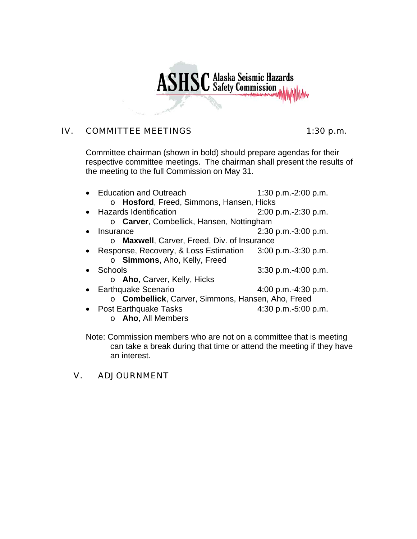# **ASHSC** Alaska Seismic Hazards

# IV. COMMITTEE MEETINGS 1:30 p.m.

Committee chairman (shown in bold) should prepare agendas for their respective committee meetings. The chairman shall present the results of the meeting to the full Commission on May 31.

| • Education and Outreach                                    | 1:30 p.m.-2:00 p.m.    |  |  |
|-------------------------------------------------------------|------------------------|--|--|
| o Hosford, Freed, Simmons, Hansen, Hicks                    |                        |  |  |
| • Hazards Identification                                    | $2:00$ p.m.-2:30 p.m.  |  |  |
| o Carver, Combellick, Hansen, Nottingham                    |                        |  |  |
| Insurance                                                   | $2:30$ p.m.-3:00 p.m.  |  |  |
| Maxwell, Carver, Freed, Div. of Insurance                   |                        |  |  |
| • Response, Recovery, & Loss Estimation 3:00 p.m.-3:30 p.m. |                        |  |  |
| o Simmons, Aho, Kelly, Freed                                |                        |  |  |
| Schools                                                     | $3:30$ p.m.-4:00 p.m.  |  |  |
| o <b>Aho</b> , Carver, Kelly, Hicks                         |                        |  |  |
| • Earthquake Scenario                                       | 4:00 p.m.-4:30 p.m.    |  |  |
| o Combellick, Carver, Simmons, Hansen, Aho, Freed           |                        |  |  |
| <b>Post Earthquake Tasks</b>                                | 4:30 p.m.- $5:00$ p.m. |  |  |
| $\circ$ <b>Aho</b> , All Members                            |                        |  |  |

Note: Commission members who are not on a committee that is meeting can take a break during that time or attend the meeting if they have an interest.

## V. ADJOURNMENT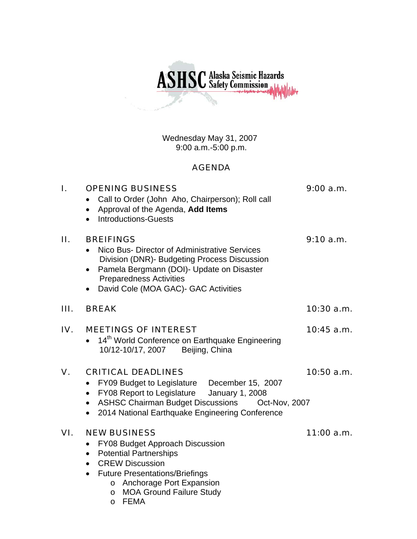**ASHSC** Alaska Seismic Hazards

Wednesday May 31, 2007 9:00 a.m.-5:00 p.m.

# AGENDA

| ı.  | <b>OPENING BUSINESS</b><br>Call to Order (John Aho, Chairperson); Roll call<br>Approval of the Agenda, Add Items<br>$\bullet$<br><b>Introductions-Guests</b>                                                                                                                                            | 9:00 a.m.    |
|-----|---------------------------------------------------------------------------------------------------------------------------------------------------------------------------------------------------------------------------------------------------------------------------------------------------------|--------------|
| П.  | <b>BREIFINGS</b><br>Nico Bus- Director of Administrative Services<br>Division (DNR)- Budgeting Process Discussion<br>Pamela Bergmann (DOI)- Update on Disaster<br><b>Preparedness Activities</b><br>David Cole (MOA GAC)- GAC Activities                                                                | 9:10 a.m.    |
| Ш.  | <b>BREAK</b>                                                                                                                                                                                                                                                                                            | 10:30 a.m.   |
| IV. | <b>MEETINGS OF INTEREST</b><br>14th World Conference on Earthquake Engineering<br>10/12-10/17, 2007<br>Beijing, China                                                                                                                                                                                   | $10:45$ a.m. |
| V.  | <b>CRITICAL DEADLINES</b><br>FY09 Budget to Legislature December 15, 2007<br>۰<br>FY08 Report to Legislature<br><b>January 1, 2008</b><br>$\bullet$<br><b>ASHSC Chairman Budget Discussions</b><br>Oct-Nov, 2007<br>$\bullet$<br>2014 National Earthquake Engineering Conference                        | 10:50a.m.    |
| VI. | <b>NEW BUSINESS</b><br>FY08 Budget Approach Discussion<br><b>Potential Partnerships</b><br>$\bullet$<br><b>CREW Discussion</b><br>$\bullet$<br><b>Future Presentations/Briefings</b><br>$\bullet$<br>o Anchorage Port Expansion<br><b>MOA Ground Failure Study</b><br>$\circ$<br><b>FEMA</b><br>$\circ$ | 11:00 a.m.   |